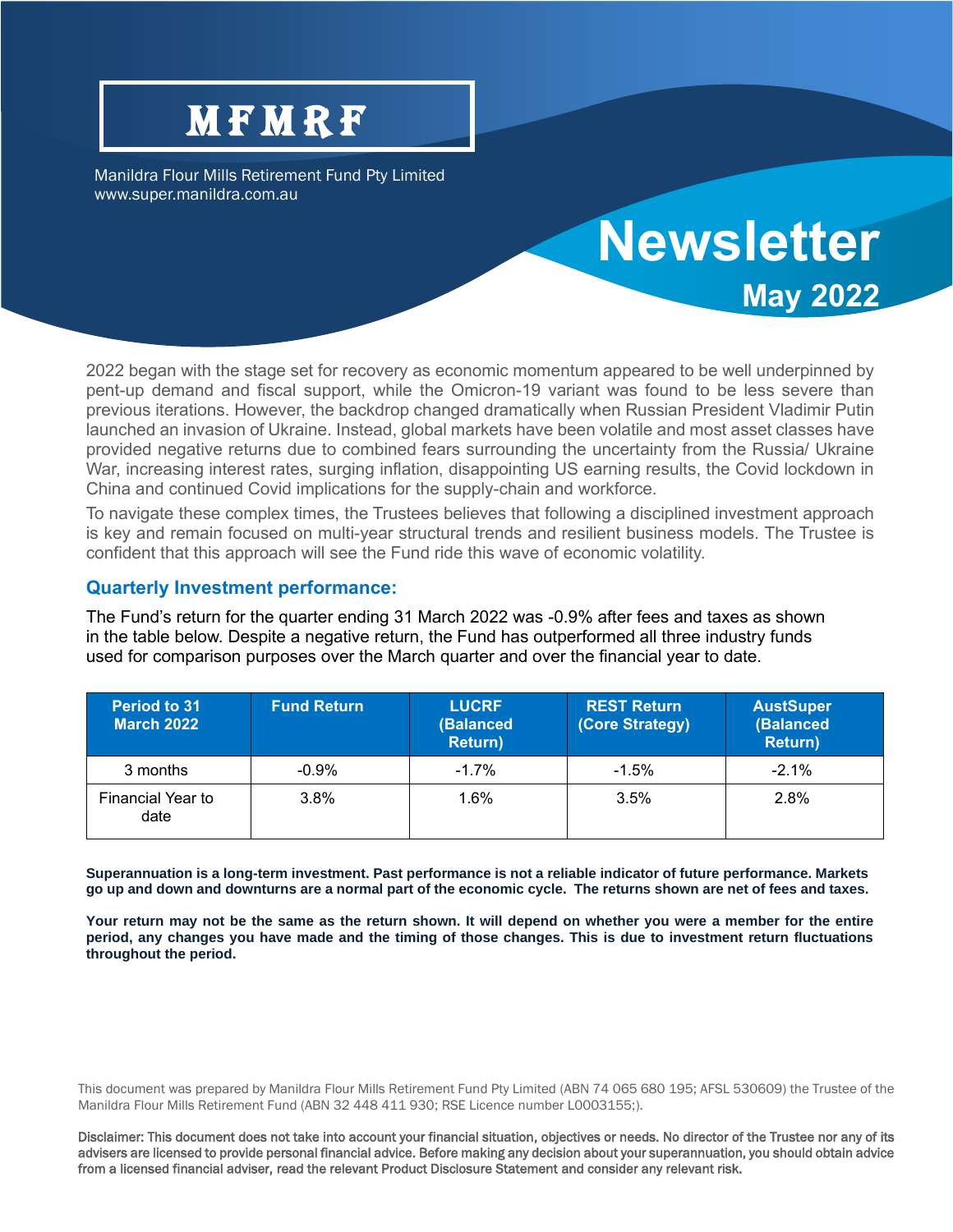# **MFMRF**

Manildra Flour Mills Retirement Fund Pty Limited www.super.manildra.com.au

## **May 2022** 2022 began with the stage set for recovery as economic momentum appeared to be well underpinned by pent-up demand and fiscal support, while the Omicron-19 variant was found to be less severe than previous iterations. However, the backdrop changed dramatically when Russian President Vladimir Putin launched an invasion of Ukraine. Instead, global markets have been volatile and most asset classes have provided negative returns due to combined fears surrounding the uncertainty from the Russia/ Ukraine War, increasing interest rates, surging inflation, disappointing US earning results, the Covid lockdown in China and continued Covid implications for the supply-chain and workforce.

**Newsletter**

To navigate these complex times, the Trustees believes that following a disciplined investment approach is key and remain focused on multi-year structural trends and resilient business models. The Trustee is confident that this approach will see the Fund ride this wave of economic volatility.

#### **Quarterly Investment performance:**

The Fund's return for the quarter ending 31 March 2022 was -0.9% after fees and taxes as shown in the table below. Despite a negative return, the Fund has outperformed all three industry funds used for comparison purposes over the March quarter and over the financial year to date.

| <b>Period to 31</b><br><b>March 2022</b> | <b>Fund Return</b> | <b>LUCRF</b><br>(Balanced<br><b>Return</b> ) | <b>REST Return</b><br>(Core Strategy) | <b>AustSuper</b><br>(Balanced<br><b>Return</b> ) |
|------------------------------------------|--------------------|----------------------------------------------|---------------------------------------|--------------------------------------------------|
| 3 months                                 | $-0.9\%$           | $-1.7%$                                      | $-1.5\%$                              | $-2.1\%$                                         |
| Financial Year to<br>date                | $3.8\%$            | 1.6%                                         | 3.5%                                  | 2.8%                                             |

**Superannuation is a long-term investment. Past performance is not a reliable indicator of future performance. Markets go up and down and downturns are a normal part of the economic cycle. The returns shown are net of fees and taxes.**

**Your return may not be the same as the return shown. It will depend on whether you were a member for the entire period, any changes you have made and the timing of those changes. This is due to investment return fluctuations throughout the period.**

This document was prepared by Manildra Flour Mills Retirement Fund Pty Limited (ABN 74 065 680 195; AFSL 530609) the Trustee of the Manildra Flour Mills Retirement Fund (ABN 32 448 411 930; RSE Licence number L0003155;).

Disclaimer: This document does not take into account your financial situation, objectives or needs. No director of the Trustee nor any of its advisers are licensed to provide personal financial advice. Before making any decision about your superannuation, you should obtain advice from a licensed financial adviser, read the relevant Product Disclosure Statement and consider any relevant risk.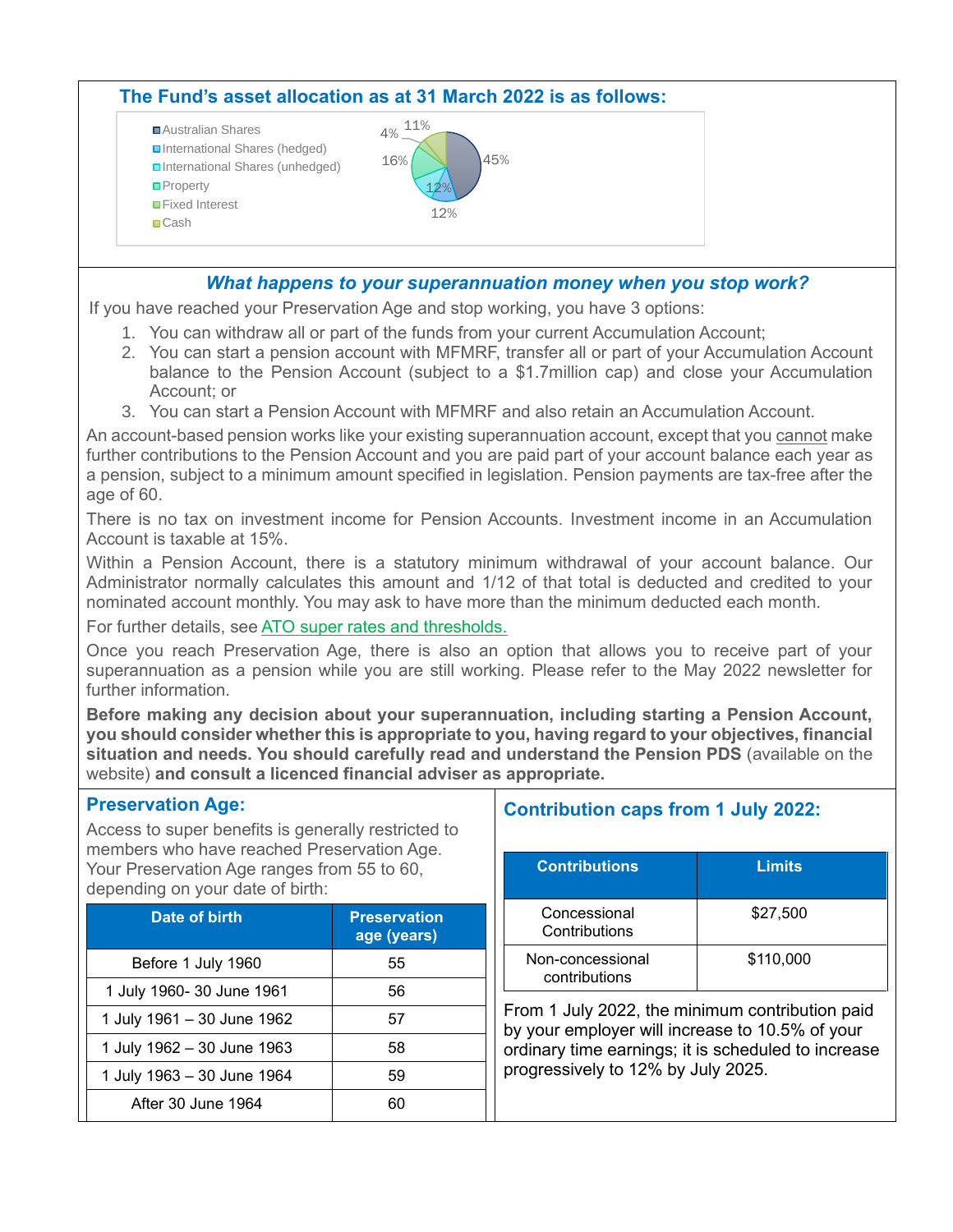